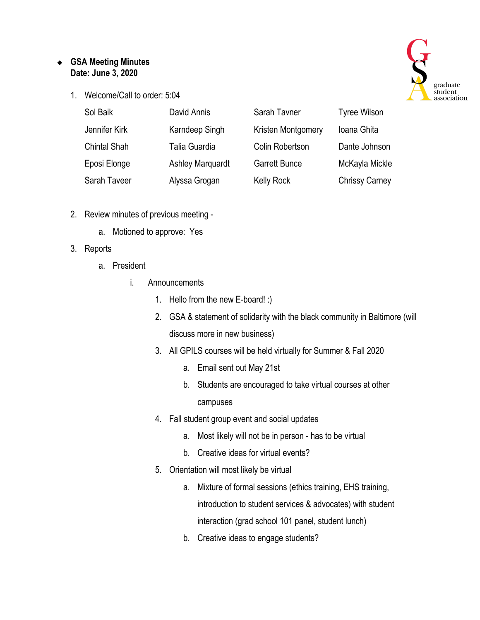## ❖ **GSA Meeting Minutes Date: June 3, 2020**

1. Welcome/Call to order: 5:04



- 2. Review minutes of previous meeting
	- a. Motioned to approve: Yes

## 3. Reports

- a. President
	- i. Announcements
		- 1. Hello from the new E-board! :)
		- 2. GSA & statement of solidarity with the black community in Baltimore (will discuss more in new business)
		- 3. All GPILS courses will be held virtually for Summer & Fall 2020
			- a. Email sent out May 21st
			- b. Students are encouraged to take virtual courses at other campuses
		- 4. Fall student group event and social updates
			- a. Most likely will not be in person has to be virtual
			- b. Creative ideas for virtual events?
		- 5. Orientation will most likely be virtual
			- a. Mixture of formal sessions (ethics training, EHS training, introduction to student services & advocates) with student interaction (grad school 101 panel, student lunch)
			- b. Creative ideas to engage students?

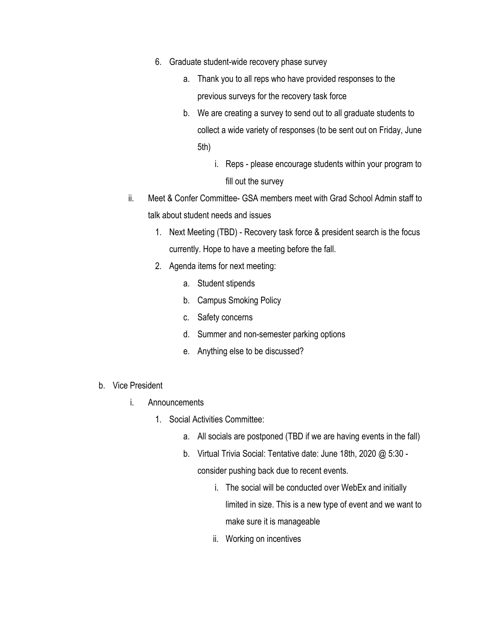- 6. Graduate student-wide recovery phase survey
	- a. Thank you to all reps who have provided responses to the previous surveys for the recovery task force
	- b. We are creating a survey to send out to all graduate students to collect a wide variety of responses (to be sent out on Friday, June 5th)
		- i. Reps please encourage students within your program to fill out the survey
- ii. Meet & Confer Committee- GSA members meet with Grad School Admin staff to talk about student needs and issues
	- 1. Next Meeting (TBD) Recovery task force & president search is the focus currently. Hope to have a meeting before the fall.
	- 2. Agenda items for next meeting:
		- a. Student stipends
		- b. Campus Smoking Policy
		- c. Safety concerns
		- d. Summer and non-semester parking options
		- e. Anything else to be discussed?
- b. Vice President
	- i. Announcements
		- 1. Social Activities Committee:
			- a. All socials are postponed (TBD if we are having events in the fall)
			- b. Virtual Trivia Social: Tentative date: June 18th, 2020 @ 5:30 consider pushing back due to recent events.
				- i. The social will be conducted over WebEx and initially limited in size. This is a new type of event and we want to make sure it is manageable
				- ii. Working on incentives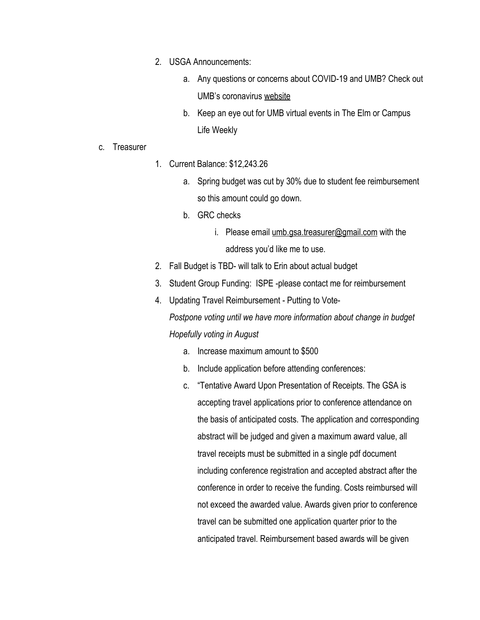- 2. USGA Announcements:
	- a. Any questions or concerns about COVID-19 and UMB? Check out UMB's coronavirus [website](https://www.umaryland.edu/coronavirus/)
	- b. Keep an eye out for UMB virtual events in The Elm or Campus Life Weekly
- c. Treasurer
- 1. Current Balance: \$12,243.26
	- a. Spring budget was cut by 30% due to student fee reimbursement so this amount could go down.
	- b. GRC checks
		- i. Please email [umb.gsa.treasurer@gmail.com](mailto:umb.gsa.treasurer@gmail.com) with the address you'd like me to use.
- 2. Fall Budget is TBD- will talk to Erin about actual budget
- 3. Student Group Funding: ISPE -please contact me for reimbursement
- 4. Updating Travel Reimbursement Putting to Vote-*Postpone voting until we have more information about change in budget Hopefully voting in August*
	- a. Increase maximum amount to \$500
	- b. Include application before attending conferences:
	- c. "Tentative Award Upon Presentation of Receipts. The GSA is accepting travel applications prior to conference attendance on the basis of anticipated costs. The application and corresponding abstract will be judged and given a maximum award value, all travel receipts must be submitted in a single pdf document including conference registration and accepted abstract after the conference in order to receive the funding. Costs reimbursed will not exceed the awarded value. Awards given prior to conference travel can be submitted one application quarter prior to the anticipated travel. Reimbursement based awards will be given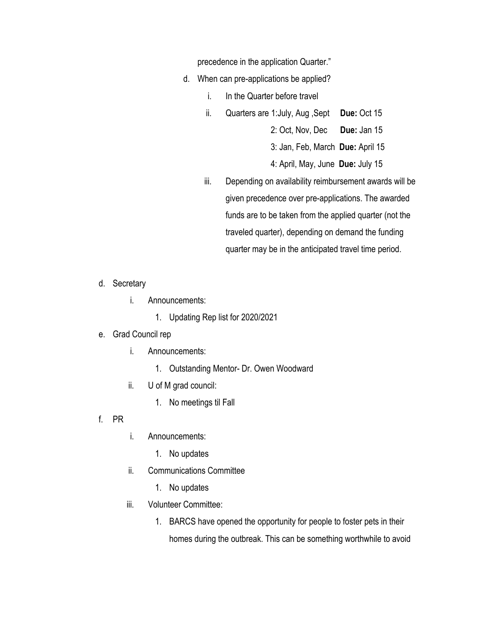precedence in the application Quarter."

- d. When can pre-applications be applied?
	- i. In the Quarter before travel
	- ii. Quarters are 1:July, Aug ,Sept **Due:** Oct 15

2: Oct, Nov, Dec **Due:** Jan 15

3: Jan, Feb, March **Due:** April 15

4: April, May, June **Due:** July 15

- iii. Depending on availability reimbursement awards will be given precedence over pre-applications. The awarded funds are to be taken from the applied quarter (not the traveled quarter), depending on demand the funding quarter may be in the anticipated travel time period.
- d. Secretary
	- i. Announcements:
		- 1. Updating Rep list for 2020/2021

## e. Grad Council rep

- i. Announcements:
	- 1. Outstanding Mentor- Dr. Owen Woodward
- ii. U of M grad council:
	- 1. No meetings til Fall
- f. PR
- i. Announcements:
	- 1. No updates
- ii. Communications Committee
	- 1. No updates
- iii. Volunteer Committee:
	- 1. BARCS have opened the opportunity for people to foster pets in their homes during the outbreak. This can be something worthwhile to avoid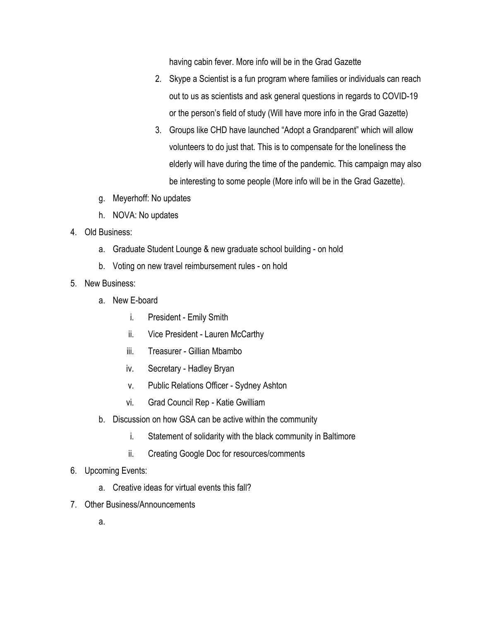having cabin fever. More info will be in the Grad Gazette

- 2. Skype a Scientist is a fun program where families or individuals can reach out to us as scientists and ask general questions in regards to COVID-19 or the person's field of study (Will have more info in the Grad Gazette)
- 3. Groups like CHD have launched "Adopt a Grandparent" which will allow volunteers to do just that. This is to compensate for the loneliness the elderly will have during the time of the pandemic. This campaign may also be interesting to some people (More info will be in the Grad Gazette).
- g. Meyerhoff: No updates
- h. NOVA: No updates
- 4. Old Business:
	- a. Graduate Student Lounge & new graduate school building on hold
	- b. Voting on new travel reimbursement rules on hold
- 5. New Business:
	- a. New E-board
		- i. President Emily Smith
		- ii. Vice President Lauren McCarthy
		- iii. Treasurer Gillian Mbambo
		- iv. Secretary Hadley Bryan
		- v. Public Relations Officer Sydney Ashton
		- vi. Grad Council Rep Katie Gwilliam
	- b. Discussion on how GSA can be active within the community
		- i. Statement of solidarity with the black community in Baltimore
		- ii. Creating Google Doc for resources/comments
- 6. Upcoming Events:
	- a. Creative ideas for virtual events this fall?
- 7. Other Business/Announcements
	- a.